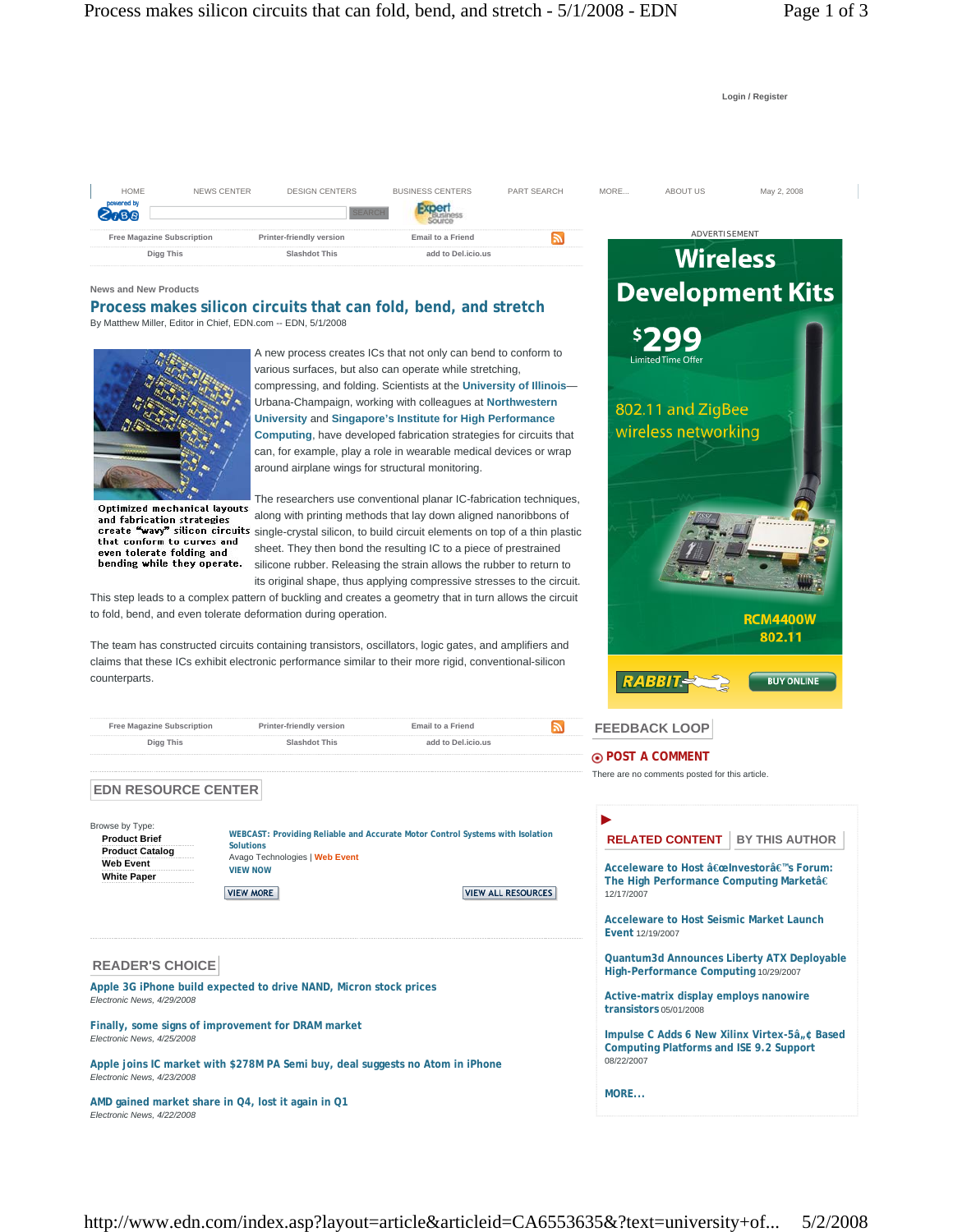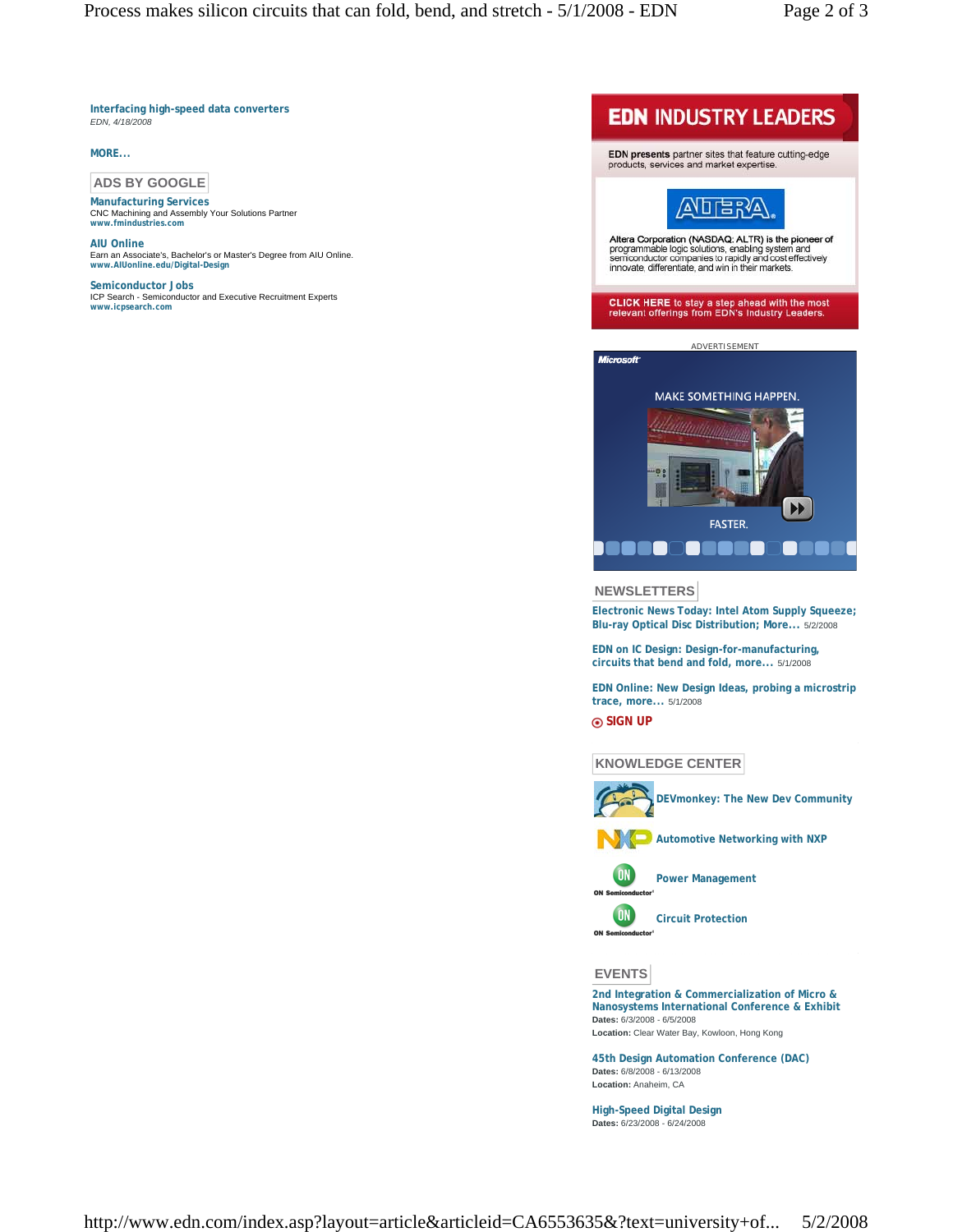**Interfacing high-speed data converters** *EDN, 4/18/2008*

## **MORE...**

# **ADS BY GOOGLE**

**Manufacturing Services** CNC Machining and Assembly Your Solutions Partner **www.fmindustries.com**

**AIU Online** Earn an Associate's, Bachelor's or Master's Degree from AIU Online. **www.AIUonline.edu/Digital-Design**

**Semiconductor Jobs** ICP Search - Semiconductor and Executive Recruitment Experts **www.icpsearch.com**





#### **NEWSLETTERS**

**Electronic News Today: Intel Atom Supply Squeeze; Blu-ray Optical Disc Distribution; More...** 5/2/2008

**EDN on IC Design: Design-for-manufacturing, circuits that bend and fold, more...** 5/1/2008

**EDN Online: New Design Ideas, probing a microstrip trace, more...** 5/1/2008

**SIGN UP**

## **KNOWLEDGE CENTER**



**DEVmonkey: The New Dev Community**



**Automotive Networking with NXP** 



**ON** 

**Power Management**

**Circuit Protection**

**EVENTS**

**2nd Integration & Commercialization of Micro & Nanosystems International Conference & Exhibit Dates:** 6/3/2008 - 6/5/2008 **Location:** Clear Water Bay, Kowloon, Hong Kong

**45th Design Automation Conference (DAC) Dates:** 6/8/2008 - 6/13/2008 **Location:** Anaheim, CA

**High-Speed Digital Design Dates:** 6/23/2008 - 6/24/2008